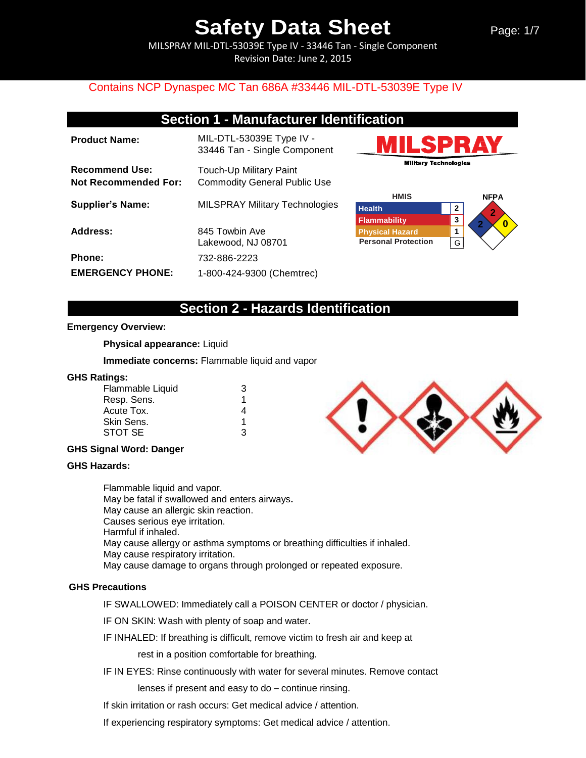MILSPRAY MIL-DTL-53039E Type IV - 33446 Tan - Single Component Revision Date: June 2, 2015

## Contains NCP Dynaspec MC Tan 686A #33446 MIL-DTL-53039E Type IV

## **Section 1 - Manufacturer Identification**

| <b>Product Name:</b>                                 | MIL-DTL-53039E Type IV -<br>33446 Tan - Single Component       |
|------------------------------------------------------|----------------------------------------------------------------|
| <b>Recommend Use:</b><br><b>Not Recommended For:</b> | Touch-Up Military Paint<br><b>Commodity General Public Use</b> |
| <b>Supplier's Name:</b>                              | <b>MILSPRAY Military Technologies</b>                          |
| Address:                                             | 845 Towbin Ave<br>Lakewood, NJ 08701                           |
| Phone:                                               | 732-886-2223                                                   |
| <b>EMERGENCY PHONE:</b>                              | 1-800-424-9300 (Chemtrec)                                      |





## **Section 2 - Hazards Identification**

#### **Emergency Overview:**

**Physical appearance:** Liquid

**Immediate concerns:** Flammable liquid and vapor

#### **GHS Ratings:**

| Flammable Liquid | З |
|------------------|---|
| Resp. Sens.      | 1 |
| Acute Tox.       |   |
| Skin Sens.       | 1 |
| STOT SE          | ર |

### **GHS Signal Word: Danger**

#### **GHS Hazards:**

Flammable liquid and vapor. May be fatal if swallowed and enters airways**.**  May cause an allergic skin reaction. Causes serious eye irritation. Harmful if inhaled. May cause allergy or asthma symptoms or breathing difficulties if inhaled. May cause respiratory irritation. May cause damage to organs through prolonged or repeated exposure.

#### **GHS Precautions**

IF SWALLOWED: Immediately call a POISON CENTER or doctor / physician.

IF ON SKIN: Wash with plenty of soap and water.

IF INHALED: If breathing is difficult, remove victim to fresh air and keep at

rest in a position comfortable for breathing.

IF IN EYES: Rinse continuously with water for several minutes. Remove contact

lenses if present and easy to do – continue rinsing.

If skin irritation or rash occurs: Get medical advice / attention.

If experiencing respiratory symptoms: Get medical advice / attention.

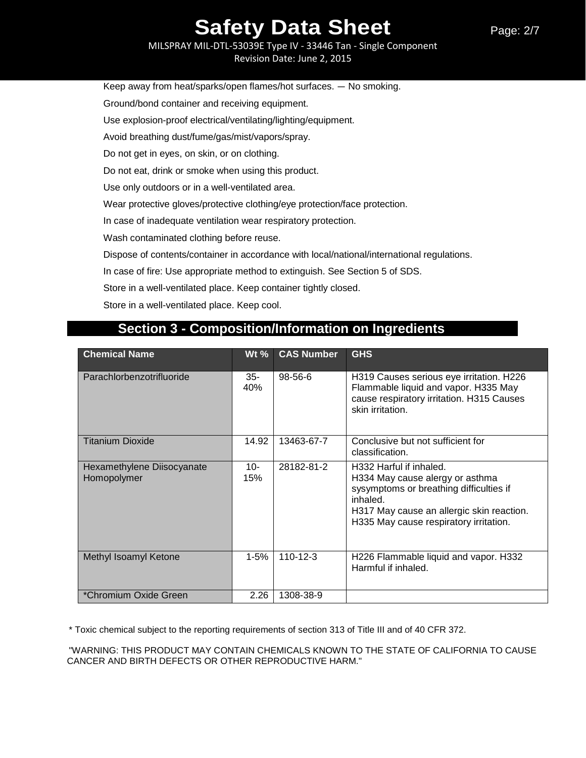MILSPRAY MIL-DTL-53039E Type IV - 33446 Tan - Single Component Revision Date: June 2, 2015

Keep away from heat/sparks/open flames/hot surfaces. — No smoking.

Ground/bond container and receiving equipment.

Use explosion-proof electrical/ventilating/lighting/equipment.

Avoid breathing dust/fume/gas/mist/vapors/spray.

Do not get in eyes, on skin, or on clothing.

Do not eat, drink or smoke when using this product.

Use only outdoors or in a well-ventilated area.

Wear protective gloves/protective clothing/eye protection/face protection.

In case of inadequate ventilation wear respiratory protection.

Wash contaminated clothing before reuse.

Dispose of contents/container in accordance with local/national/international regulations.

In case of fire: Use appropriate method to extinguish. See Section 5 of SDS.

Store in a well-ventilated place. Keep container tightly closed.

Store in a well-ventilated place. Keep cool.

### **Chemical Name Wt % CAS Number GHS** Parachlorbenzotrifluoride | 35-40% 98-56-6 H319 Causes serious eye irritation. H226 Flammable liquid and vapor. H335 May cause respiratory irritation. H315 Causes skin irritation. Titanium Dioxide 14.92 13463-67-7 Conclusive but not sufficient for classification. Hexamethylene Diisocyanate Homopolymer 10- 15% 28182-81-2 H332 Harful if inhaled. H334 May cause alergy or asthma sysymptoms or breathing difficulties if inhaled. H317 May cause an allergic skin reaction. H335 May cause respiratory irritation. Methyl Isoamyl Ketone 1-5% | 110-12-3 H226 Flammable liquid and vapor. H332 Harmful if inhaled. \*Chromium Oxide Green 2.26 1308-38-9

## **Section 3 - Composition/Information on Ingredients**

\* Toxic chemical subject to the reporting requirements of section 313 of Title III and of 40 CFR 372.

"WARNING: THIS PRODUCT MAY CONTAIN CHEMICALS KNOWN TO THE STATE OF CALIFORNIA TO CAUSE CANCER AND BIRTH DEFECTS OR OTHER REPRODUCTIVE HARM."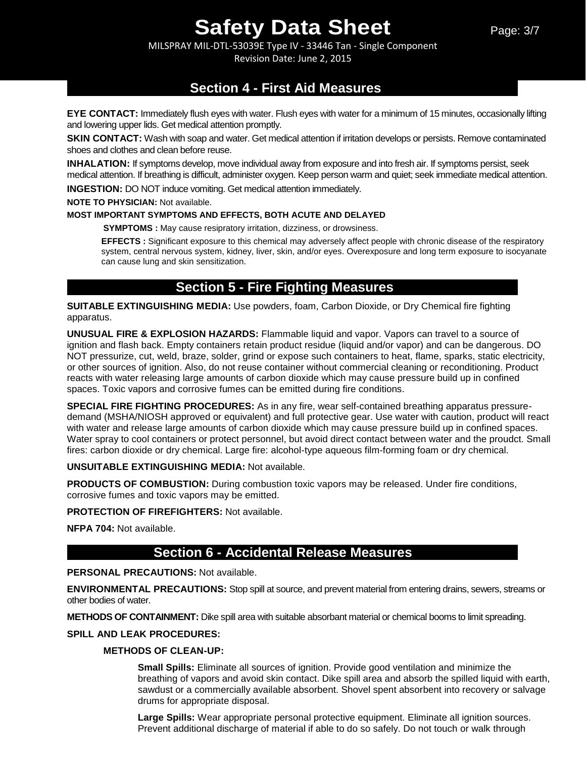MILSPRAY MIL-DTL-53039E Type IV - 33446 Tan - Single Component Revision Date: June 2, 2015

## **Section 4 - First Aid Measures**

**EYE CONTACT:** Immediately flush eyes with water. Flush eyes with water for a minimum of 15 minutes, occasionally lifting and lowering upper lids. Get medical attention promptly.

**SKIN CONTACT:** Wash with soap and water. Get medical attention if irritation develops or persists. Remove contaminated shoes and clothes and clean before reuse.

**INHALATION:** If symptoms develop, move individual away from exposure and into fresh air. If symptoms persist, seek medical attention. If breathing is difficult, administer oxygen. Keep person warm and quiet; seek immediate medical attention.

**INGESTION:** DO NOT induce vomiting. Get medical attention immediately.

**NOTE TO PHYSICIAN:** Not available.

#### **MOST IMPORTANT SYMPTOMS AND EFFECTS, BOTH ACUTE AND DELAYED**

**SYMPTOMS :** May cause resipratory irritation, dizziness, or drowsiness.

**EFFECTS :** Significant exposure to this chemical may adversely affect people with chronic disease of the respiratory system, central nervous system, kidney, liver, skin, and/or eyes. Overexposure and long term exposure to isocyanate can cause lung and skin sensitization.

## **Section 5 - Fire Fighting Measures**

**SUITABLE EXTINGUISHING MEDIA:** Use powders, foam, Carbon Dioxide, or Dry Chemical fire fighting apparatus.

**UNUSUAL FIRE & EXPLOSION HAZARDS:** Flammable liquid and vapor. Vapors can travel to a source of ignition and flash back. Empty containers retain product residue (liquid and/or vapor) and can be dangerous. DO NOT pressurize, cut, weld, braze, solder, grind or expose such containers to heat, flame, sparks, static electricity, or other sources of ignition. Also, do not reuse container without commercial cleaning or reconditioning. Product reacts with water releasing large amounts of carbon dioxide which may cause pressure build up in confined spaces. Toxic vapors and corrosive fumes can be emitted during fire conditions.

**SPECIAL FIRE FIGHTING PROCEDURES:** As in any fire, wear self-contained breathing apparatus pressuredemand (MSHA/NIOSH approved or equivalent) and full protective gear. Use water with caution, product will react with water and release large amounts of carbon dioxide which may cause pressure build up in confined spaces. Water spray to cool containers or protect personnel, but avoid direct contact between water and the proudct. Small fires: carbon dioxide or dry chemical. Large fire: alcohol-type aqueous film-forming foam or dry chemical.

### **UNSUITABLE EXTINGUISHING MEDIA:** Not available.

**PRODUCTS OF COMBUSTION:** During combustion toxic vapors may be released. Under fire conditions, corrosive fumes and toxic vapors may be emitted.

**PROTECTION OF FIREFIGHTERS:** Not available.

**NFPA 704:** Not available.

## **Section 6 - Accidental Release Measures**

### **PERSONAL PRECAUTIONS:** Not available.

**ENVIRONMENTAL PRECAUTIONS:** Stop spill at source, and prevent material from entering drains, sewers, streams or other bodies of water.

**METHODS OF CONTAINMENT:** Dike spill area with suitable absorbant material or chemical booms to limit spreading.

### **SPILL AND LEAK PROCEDURES:**

### **METHODS OF CLEAN-UP:**

**Small Spills:** Eliminate all sources of ignition. Provide good ventilation and minimize the breathing of vapors and avoid skin contact. Dike spill area and absorb the spilled liquid with earth, sawdust or a commercially available absorbent. Shovel spent absorbent into recovery or salvage drums for appropriate disposal.

**Large Spills:** Wear appropriate personal protective equipment. Eliminate all ignition sources. Prevent additional discharge of material if able to do so safely. Do not touch or walk through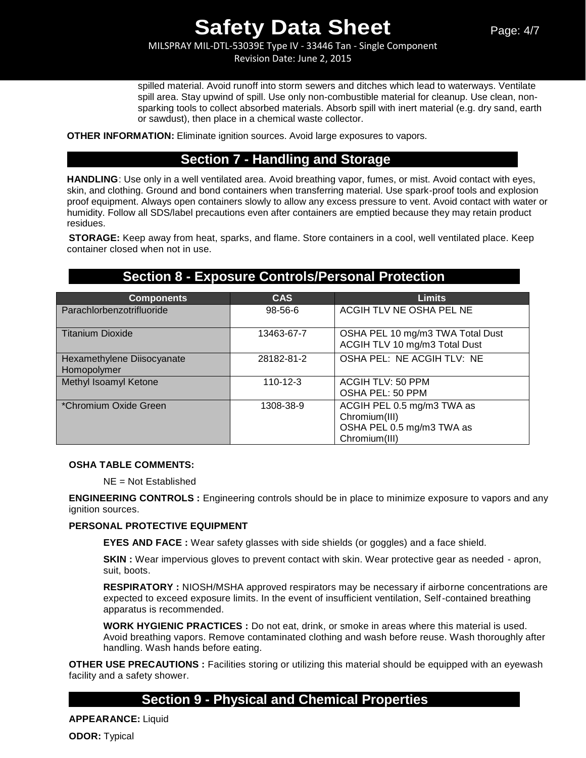MILSPRAY MIL-DTL-53039E Type IV - 33446 Tan - Single Component Revision Date: June 2, 2015

spilled material. Avoid runoff into storm sewers and ditches which lead to waterways. Ventilate spill area. Stay upwind of spill. Use only non-combustible material for cleanup. Use clean, nonsparking tools to collect absorbed materials. Absorb spill with inert material (e.g. dry sand, earth or sawdust), then place in a chemical waste collector.

**OTHER INFORMATION:** Eliminate ignition sources. Avoid large exposures to vapors.

## **Section 7 - Handling and Storage**

**HANDLING**: Use only in a well ventilated area. Avoid breathing vapor, fumes, or mist. Avoid contact with eyes, skin, and clothing. Ground and bond containers when transferring material. Use spark-proof tools and explosion proof equipment. Always open containers slowly to allow any excess pressure to vent. Avoid contact with water or humidity. Follow all SDS/label precautions even after containers are emptied because they may retain product residues.

**STORAGE:** Keep away from heat, sparks, and flame. Store containers in a cool, well ventilated place. Keep container closed when not in use.

## **Section 8 - Exposure Controls/Personal Protection**

| <b>Components</b>                         | <b>CAS</b>     | <b>Limits</b>                                                                             |
|-------------------------------------------|----------------|-------------------------------------------------------------------------------------------|
| Parachlorbenzotrifluoride                 | $98 - 56 - 6$  | ACGIH TLV NE OSHA PEL NE                                                                  |
| <b>Titanium Dioxide</b>                   | 13463-67-7     | OSHA PEL 10 mg/m3 TWA Total Dust<br>ACGIH TLV 10 mg/m3 Total Dust                         |
| Hexamethylene Diisocyanate<br>Homopolymer | 28182-81-2     | OSHA PEL: NE ACGIH TLV: NE                                                                |
| Methyl Isoamyl Ketone                     | $110 - 12 - 3$ | ACGIH TLV: 50 PPM<br>OSHA PEL: 50 PPM                                                     |
| *Chromium Oxide Green                     | 1308-38-9      | ACGIH PEL 0.5 mg/m3 TWA as<br>Chromium(III)<br>OSHA PEL 0.5 mg/m3 TWA as<br>Chromium(III) |

#### **OSHA TABLE COMMENTS:**

NE = Not Established

**ENGINEERING CONTROLS :** Engineering controls should be in place to minimize exposure to vapors and any ignition sources.

### **PERSONAL PROTECTIVE EQUIPMENT**

**EYES AND FACE :** Wear safety glasses with side shields (or goggles) and a face shield.

**SKIN** : Wear impervious gloves to prevent contact with skin. Wear protective gear as needed - apron, suit, boots.

**RESPIRATORY :** NIOSH/MSHA approved respirators may be necessary if airborne concentrations are expected to exceed exposure limits. In the event of insufficient ventilation, Self-contained breathing apparatus is recommended.

**WORK HYGIENIC PRACTICES :** Do not eat, drink, or smoke in areas where this material is used. Avoid breathing vapors. Remove contaminated clothing and wash before reuse. Wash thoroughly after handling. Wash hands before eating.

**OTHER USE PRECAUTIONS :** Facilities storing or utilizing this material should be equipped with an eyewash facility and a safety shower.

## **Section 9 - Physical and Chemical Properties**

**APPEARANCE:** Liquid

**ODOR:** Typical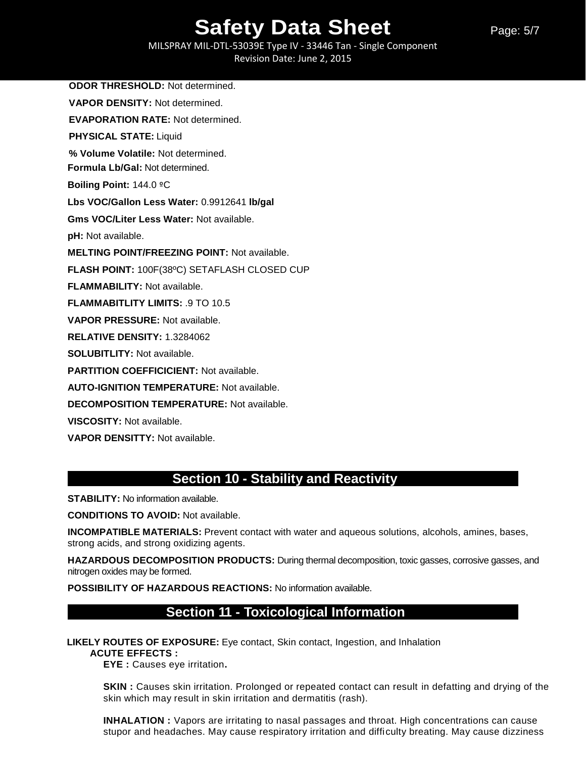Page: 5/7

MILSPRAY MIL-DTL-53039E Type IV - 33446 Tan - Single Component Revision Date: June 2, 2015

**ODOR THRESHOLD:** Not determined. **VAPOR DENSITY:** Not determined. **EVAPORATION RATE:** Not determined. **PHYSICAL STATE:** Liquid **% Volume Volatile:** Not determined. **Formula Lb/Gal:** Not determined. **Boiling Point:** 144.0 ºC **Lbs VOC/Gallon Less Water:** 0.9912641 **lb/gal Gms VOC/Liter Less Water:** Not available. **pH:** Not available. **MELTING POINT/FREEZING POINT:** Not available. **FLASH POINT:** 100F(38ºC) SETAFLASH CLOSED CUP **FLAMMABILITY:** Not available. **FLAMMABITLITY LIMITS:** .9 TO 10.5 **VAPOR PRESSURE:** Not available. **RELATIVE DENSITY:** 1.3284062 **SOLUBITLITY:** Not available. **PARTITION COEFFICICIENT:** Not available. **AUTO-IGNITION TEMPERATURE:** Not available. **DECOMPOSITION TEMPERATURE:** Not available. **VISCOSITY:** Not available.

**VAPOR DENSITTY:** Not available.

## **Section 10 - Stability and Reactivity**

**STABILITY:** No information available.

**CONDITIONS TO AVOID:** Not available.

**INCOMPATIBLE MATERIALS:** Prevent contact with water and aqueous solutions, alcohols, amines, bases, strong acids, and strong oxidizing agents.

**HAZARDOUS DECOMPOSITION PRODUCTS:** During thermal decomposition, toxic gasses, corrosive gasses, and nitrogen oxides may be formed.

**POSSIBILITY OF HAZARDOUS REACTIONS:** No information available.

## **Section 11 - Toxicological Information**

**LIKELY ROUTES OF EXPOSURE:** Eye contact, Skin contact, Ingestion, and Inhalation

**ACUTE EFFECTS :** 

**EYE :** Causes eye irritation**.** 

**SKIN**: Causes skin irritation. Prolonged or repeated contact can result in defatting and drying of the skin which may result in skin irritation and dermatitis (rash).

**INHALATION :** Vapors are irritating to nasal passages and throat. High concentrations can cause stupor and headaches. May cause respiratory irritation and difficulty breating. May cause dizziness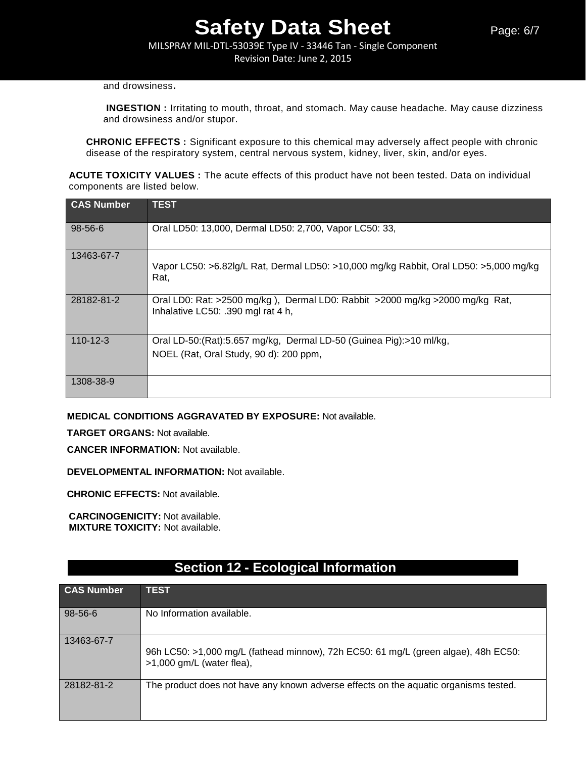MILSPRAY MIL-DTL-53039E Type IV - 33446 Tan - Single Component Revision Date: June 2, 2015

#### and drowsiness**.**

**INGESTION :** Irritating to mouth, throat, and stomach. May cause headache. May cause dizziness and drowsiness and/or stupor.

**CHRONIC EFFECTS :** Significant exposure to this chemical may adversely affect people with chronic disease of the respiratory system, central nervous system, kidney, liver, skin, and/or eyes.

**ACUTE TOXICITY VALUES :** The acute effects of this product have not been tested. Data on individual components are listed below.

| <b>CAS Number</b> | <b>TEST</b>                                                                                                        |
|-------------------|--------------------------------------------------------------------------------------------------------------------|
| $98 - 56 - 6$     | Oral LD50: 13,000, Dermal LD50: 2,700, Vapor LC50: 33,                                                             |
| 13463-67-7        | Vapor LC50: >6.82lg/L Rat, Dermal LD50: >10,000 mg/kg Rabbit, Oral LD50: >5,000 mg/kg<br>Rat.                      |
| 28182-81-2        | Oral LD0: Rat: >2500 mg/kg), Dermal LD0: Rabbit >2000 mg/kg >2000 mg/kg Rat,<br>Inhalative LC50: .390 mgl rat 4 h, |
| $110 - 12 - 3$    | Oral LD-50: (Rat): 5.657 mg/kg, Dermal LD-50 (Guinea Pig): > 10 ml/kg,                                             |
|                   | NOEL (Rat, Oral Study, 90 d): 200 ppm,                                                                             |
| 1308-38-9         |                                                                                                                    |

#### **MEDICAL CONDITIONS AGGRAVATED BY EXPOSURE:** Not available.

**TARGET ORGANS:** Not available.

**CANCER INFORMATION:** Not available.

**DEVELOPMENTAL INFORMATION:** Not available.

**CHRONIC EFFECTS:** Not available.

**CARCINOGENICITY:** Not available. **MIXTURE TOXICITY:** Not available.

| <b>CAS Number</b> | <b>TEST</b>                                                                                                       |
|-------------------|-------------------------------------------------------------------------------------------------------------------|
| 98-56-6           | No Information available.                                                                                         |
| 13463-67-7        | 96h LC50: >1,000 mg/L (fathead minnow), 72h EC50: 61 mg/L (green algae), 48h EC50:<br>$>1,000$ gm/L (water flea), |
| 28182-81-2        | The product does not have any known adverse effects on the aquatic organisms tested.                              |

## **Section 12 - Ecological Information**